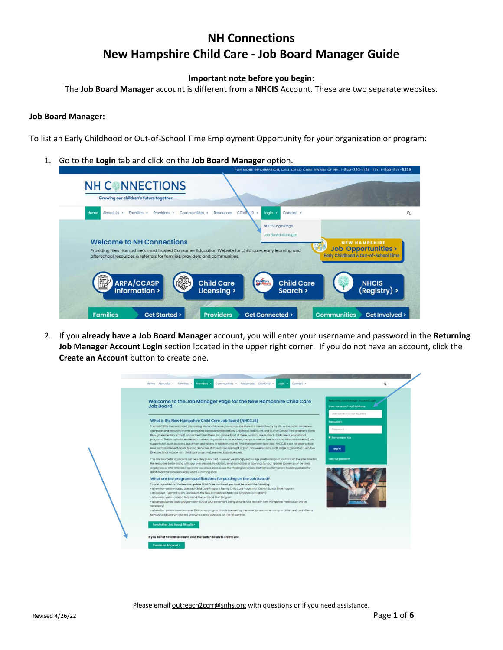## **NH Connections New Hampshire Child Care - Job Board Manager Guide**

## **Important note before you begin**:

The **Job Board Manager** account is different from a **NHCIS** Account. These are two separate websites.

## **Job Board Manager:**

To list an Early Childhood or Out-of-School Time Employment Opportunity for your organization or program:

1. Go to the **Login** tab and click on the **Job Board Manager** option.

|                                                                                                                                                                                                                        | FOR MORE INFORMATION, CALL CHILD CARE AWARE OF NH: 1-855-393-1731 TTY: 1-800-877-8339                                                               |   |
|------------------------------------------------------------------------------------------------------------------------------------------------------------------------------------------------------------------------|-----------------------------------------------------------------------------------------------------------------------------------------------------|---|
| <b>NH CONNECTIONS</b><br>Growing our children's future together                                                                                                                                                        |                                                                                                                                                     |   |
| Communities -<br>Home<br>About Us<br>Families ·<br>Providers ·<br>Resources                                                                                                                                            | $COVID - 19$ $-$<br>Login<br>Contact ·                                                                                                              | Q |
| <b>Welcome to NH Connections</b><br>Providing New Hampshire's most trusted Consumer Education Website for child care, early learning and<br>afterschool resources & referrals for families, providers and communities. | <b>NHCIS Login Page</b><br><b>Job Board Manager</b><br><b>NEW HAMPSHIRE</b><br><b>Job Opportunities&gt;</b><br>Early Childhood & Out-of-School Time |   |
| ARPA/CCASP<br>Information ><br><b>Child Care</b><br>Licensing ><br><b>Families</b><br><b>Providers</b><br><b>Get Started &gt;</b>                                                                                      | ChildCare<br><b>Child Care</b><br><b>NHCIS</b><br>(Registry) ><br>Search ><br><b>Communities</b><br>Get Connected ><br>Get Involved >               |   |

2. If you **already have a Job Board Manager** account, you will enter your username and password in the **Returning Job Manager Account Login** section located in the upper right corner. If you do not have an account, click the **Create an Account** button to create one.

| Welcome to the Job Manager Page for the New Hampshire Child Care<br><b>Job Board</b>                                                                                                                                                                                                                                                                                                                                    | Returning Job Manager Account Login<br><b>Username or Email Address</b> |
|-------------------------------------------------------------------------------------------------------------------------------------------------------------------------------------------------------------------------------------------------------------------------------------------------------------------------------------------------------------------------------------------------------------------------|-------------------------------------------------------------------------|
|                                                                                                                                                                                                                                                                                                                                                                                                                         | Username or Email Address                                               |
| What is the New Hampshire Child Care Job Board (NHCCJB)                                                                                                                                                                                                                                                                                                                                                                 | Password                                                                |
| The NHCCJB is the centralized job posting site for child care jobs across the state. It is linked directly by URL to the public awareness<br>campaign and recruiting events promoting job opportunities in Early Childhood, Head Start, and Out-of-School Time programs (birth                                                                                                                                          | Password                                                                |
| through elementary school) across the state of New Hampshire. Most of these positions are in direct child care or educational<br>programs. They may include roles such as teaching assistants to teachers, camp counselors (see additional information below) and                                                                                                                                                       | Remember Me                                                             |
| support staff, such as cooks, bus drivers and others. In addition, you will find management-level jobs. NHCCJB is not for other critical<br>roles such as interventionists, human resources staff, summer overnight or part-day weekly camp staff, larger organization Executive<br>Directors (that include non-child care programs), nannies, babysitters, etc.                                                        | Log in                                                                  |
| This one source for applicants will be widely publicized. However, we strongly encourage you to also post positions on the sites listed in<br>the resources below along with your own website. In addition, send out notices of openings to your families (parents can be great<br>employees or offer referrals). We invite you check back to see the "Finding Child Care Staff in New Hampshire Toolkit" available for | Lost your possword?                                                     |
| additional workforce resources, which is coming soon!<br>What are the program qualifications for posting on the Job Board?                                                                                                                                                                                                                                                                                              |                                                                         |
| To post a position on the New Hampshire Child Care Job Board you must be one of the following:                                                                                                                                                                                                                                                                                                                          |                                                                         |
| . a New Hampshire-based Licensed Child Care Program, Family Child Care Program or Out-of-School Time Program                                                                                                                                                                                                                                                                                                            |                                                                         |
| · a Licensed-Exempt Facility (enrolled in the New Hampshire Child Care Scholarship Program)<br>· a New Hampshire-based Early Head Start or Head Start Program                                                                                                                                                                                                                                                           |                                                                         |
| · a licensed border state program with 60% of your enrollment being children that reside in New Hampshire (verification will be                                                                                                                                                                                                                                                                                         |                                                                         |
| $necessary$ )<br>· a New Hampshire based summer DAY camp program that is licensed by the state (as a summer camp or child care) and offers a                                                                                                                                                                                                                                                                            |                                                                         |
| full-day child care component and consistently operates for the full summer.                                                                                                                                                                                                                                                                                                                                            |                                                                         |
|                                                                                                                                                                                                                                                                                                                                                                                                                         |                                                                         |

Please email **outreach2ccrr@snhs.org** with questions or if you need assistance.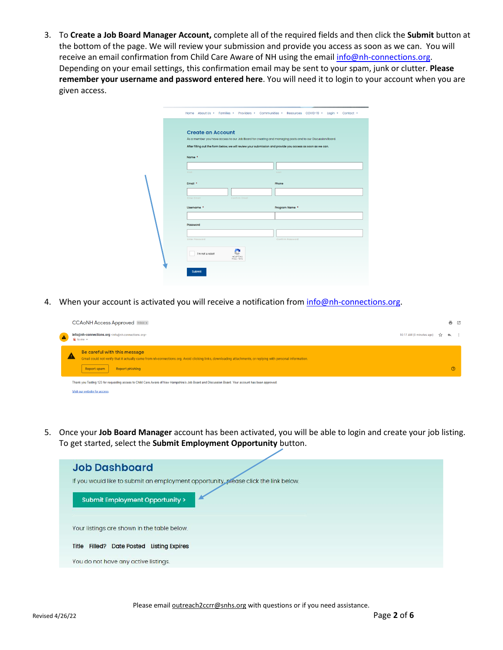3. To **Create a Job Board Manager Account,** complete all of the required fields and then click the **Submit** button at the bottom of the page. We will review your submission and provide you access as soon as we can. You will receive an email confirmation from Child Care Aware of NH using the email [info@nh-connections.org.](mailto:info@nh-connections.org) Depending on your email settings, this confirmation email may be sent to your spam, junk or clutter. **Please remember your username and password entered here**. You will need it to login to your account when you are given access.

|  |                                             | Home About Us + Families + Providers + Communities + Resources COVID-19 + Login + Contact +                                                                                                                             |       |                  |  |
|--|---------------------------------------------|-------------------------------------------------------------------------------------------------------------------------------------------------------------------------------------------------------------------------|-------|------------------|--|
|  | <b>Create an Account</b><br>Name *<br>First | As a member you have access to our Job Board for creating and managing posts and to our Discussion Board.<br>After filling out the form below, we will review your submission and provide you access as soon as we can. | Last  |                  |  |
|  | Email *<br><b>Enter Email</b><br>Username * | Confirm Email                                                                                                                                                                                                           | Phone | Program Name *   |  |
|  | Password<br><b>Enter Password</b>           |                                                                                                                                                                                                                         |       | Confirm Password |  |
|  | I'm not a robot<br>Submit                   | <b>reCAPTCHA</b><br>Privacy - Terms                                                                                                                                                                                     |       |                  |  |

4. When your account is activated you will receive a notification from [info@nh-connections.org.](mailto:info@nh-connections.org)

|                  | <b>CCAoNH Access Approved Inbox x</b>                                                                                                                                                                                              |                             | 좀 던          |  |
|------------------|------------------------------------------------------------------------------------------------------------------------------------------------------------------------------------------------------------------------------------|-----------------------------|--------------|--|
| $\blacktriangle$ | info@nh-connections.org <info@nh-connections.org><br/><math>\geq</math> to me <math>\sim</math></info@nh-connections.org>                                                                                                          | 10:17 AM (0 minutes ago) 12 | $\leftarrow$ |  |
|                  | Be careful with this message<br>Δ<br>Gmail could not verify that it actually came from nh-connections.org. Avoid clicking links, downloading attachments, or replying with personal information.<br>Report phishing<br>Report spam |                             |              |  |
|                  | Thank you Testing 123 for requesting access to Child Care Aware of New Hampshire's Job Board and Discussion Board. Your account has been approved.<br>Visit our website for access.                                                |                             |              |  |

5. Once your **Job Board Manager** account has been activated, you will be able to login and create your job listing. To get started, select the **Submit Employment Opportunity** button.

| <b>Job Dashboard</b>                                                                |
|-------------------------------------------------------------------------------------|
| If you would like to submit an employment opportunity, please click the link below. |
| Submit Employment Opportunity >                                                     |
| Your listings are shown in the table below.                                         |
| Title Filled? Date Posted Listing Expires                                           |
| You do not have any active listings.                                                |

Please email **outreach2ccrr@snhs.org** with questions or if you need assistance.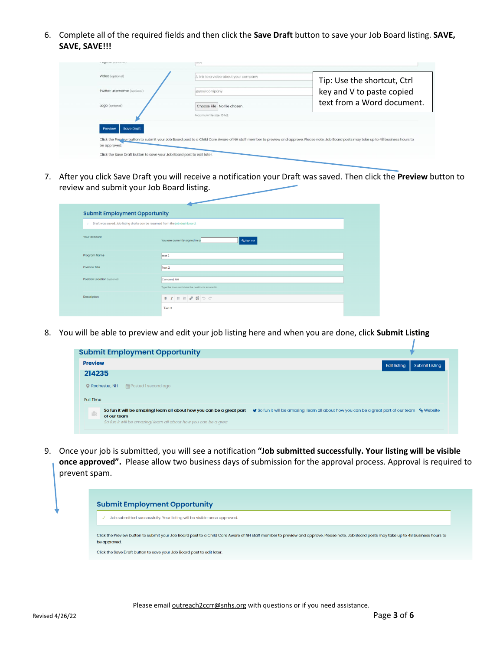6. Complete all of the required fields and then click the **Save Draft** button to save your Job Board listing. **SAVE, SAVE, SAVE!!!**

| Video (optional)             | A link to a video about your company | Tip: Use the shortcut, Ctrl                                                                                                                                                              |
|------------------------------|--------------------------------------|------------------------------------------------------------------------------------------------------------------------------------------------------------------------------------------|
| Twitter username (optional)  | <i>coyourcompany</i>                 | key and V to paste copied                                                                                                                                                                |
| Logo (optional)              | Choose File No file chosen           | text from a Word document.                                                                                                                                                               |
|                              | Maximum file size: 15 MB             |                                                                                                                                                                                          |
| <b>Save Draft</b><br>Preview |                                      |                                                                                                                                                                                          |
|                              |                                      | Click the Preview button to submit your Job Board post to a Child Care Aware of NH staff member to preview and approve. Please note, Job Board posts may take up to 48 business hours to |

7. After you click Save Draft you will receive a notification your Draft was saved. Then click the **Preview** button to review and submit your Job Board listing.

| x                            | Draft was saved. Job listing drafts can be resumed from the job dashboard. |
|------------------------------|----------------------------------------------------------------------------|
| Your account                 | You are currently signed in a<br>$\mathbf{a}_{\mathrm{e}}$ Sign out        |
| Program Name                 | test 2                                                                     |
| Position Title               | Test 2                                                                     |
| Position Location (optional) | Concord, NH                                                                |
|                              | Type the town and state the position is located in.                        |

8. You will be able to preview and edit your job listing here and when you are done, click **Submit Listing**

| <b>Submit Employment Opportunity</b>                                                                                                                           |                                                                                              |
|----------------------------------------------------------------------------------------------------------------------------------------------------------------|----------------------------------------------------------------------------------------------|
| <b>Preview</b>                                                                                                                                                 | <b>Edit listing</b><br><b>Submit Listing</b>                                                 |
| 214235                                                                                                                                                         |                                                                                              |
| file Posted 1 second ago<br>• Rochester, NH                                                                                                                    |                                                                                              |
| <b>Full Time</b>                                                                                                                                               |                                                                                              |
| So fun it will be amazing! learn all about how you can be a great part<br>腦<br>of our team<br>So fun it will be amazing! learn all about how you can be a grea | So fun it will be amazing! learn all about how you can be a great part of our team % Website |

9. Once your job is submitted, you will see a notification **"Job submitted successfully. Your listing will be visible once approved".** Please allow two business days of submission for the approval process. Approval is required to prevent spam.

| <b>Submit Employment Opportunity</b>                                                                                                                                                                     |
|----------------------------------------------------------------------------------------------------------------------------------------------------------------------------------------------------------|
| Job submitted successfully. Your listing will be visible once approved.                                                                                                                                  |
| Click the Preview button to submit your Job Board post to a Child Care Aware of NH staff member to preview and approve. Please note, Job Board posts may take up to 48 business hours to<br>be approved. |
| Click the Save Draft button to save your Job Board post to edit later.                                                                                                                                   |

Please email **outreach2ccrr@snhs.org** with questions or if you need assistance.

1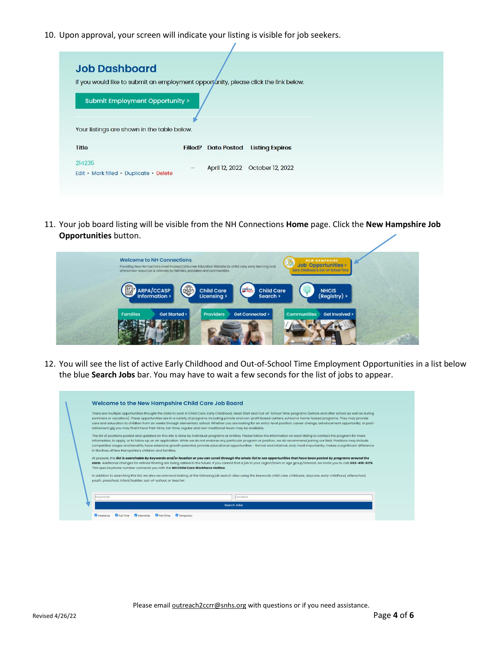10. Upon approval, your screen will indicate your listing is visible for job seekers.

| <b>Job Dashboard</b><br>If you would like to submit an employment opport unity, please click the link below.<br>Submit Employment Opportunity ><br>Your listings are shown in the table below.<br><b>Title</b><br><b>Filled? Date Posted</b><br><b>Listing Expires</b><br>214235<br>April 12, 2022  October 12, 2022<br>$\overline{\phantom{m}}$<br>Edit · Mark filled · Duplicate · Delete |  |  |
|---------------------------------------------------------------------------------------------------------------------------------------------------------------------------------------------------------------------------------------------------------------------------------------------------------------------------------------------------------------------------------------------|--|--|
|                                                                                                                                                                                                                                                                                                                                                                                             |  |  |
|                                                                                                                                                                                                                                                                                                                                                                                             |  |  |
|                                                                                                                                                                                                                                                                                                                                                                                             |  |  |
|                                                                                                                                                                                                                                                                                                                                                                                             |  |  |

11. Your job board listing will be visible from the NH Connections **Home** page. Click the **New Hampshire Job Opportunities** button.



12. You will see the list of active Early Childhood and Out-of-School Time Employment Opportunities in a list below the blue **Search Jobs** bar. You may have to wait a few seconds for the list of jobs to appear.



Please email **outreach2ccrr@snhs.org** with questions or if you need assistance.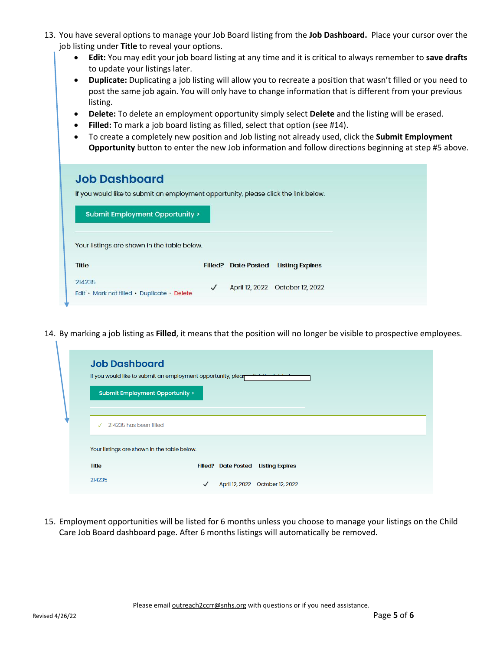- 13. You have several options to manage your Job Board listing from the **Job Dashboard.** Place your cursor over the job listing under **Title** to reveal your options.
	- **Edit:** You may edit your job board listing at any time and it is critical to always remember to **save drafts** to update your listings later.
	- **Duplicate:** Duplicating a job listing will allow you to recreate a position that wasn't filled or you need to post the same job again. You will only have to change information that is different from your previous listing.
	- **Delete:** To delete an employment opportunity simply select **Delete** and the listing will be erased.
	- **Filled:** To mark a job board listing as filled, select that option (see #14).
	- To create a completely new position and Job listing not already used, click the **Submit Employment Opportunity** button to enter the new Job information and follow directions beginning at step #5 above.

| <b>Job Dashboard</b><br>If you would like to submit an employment opportunity, please click the link below.<br><b>Submit Employment Opportunity &gt;</b> |              |                            |                                  |
|----------------------------------------------------------------------------------------------------------------------------------------------------------|--------------|----------------------------|----------------------------------|
| Your listings are shown in the table below.<br><b>Title</b>                                                                                              |              | <b>Filled? Date Posted</b> | <b>Listing Expires</b>           |
| 214235<br>Edit · Mark not filled · Duplicate · Delete                                                                                                    | $\checkmark$ |                            | April 12, 2022  October 12, 2022 |

14. By marking a job listing as **Filled**, it means that the position will no longer be visible to prospective employees.

| <b>Job Dashboard</b><br>lf you would like to submit an employment opportunity, please the the link holow<br>Submit Employment Opportunity > |  |                                     |  |
|---------------------------------------------------------------------------------------------------------------------------------------------|--|-------------------------------------|--|
| 214235 has been filled                                                                                                                      |  |                                     |  |
| Your listings are shown in the table below.                                                                                                 |  |                                     |  |
| <b>Title</b>                                                                                                                                |  | Filled? Date Posted Listing Expires |  |
|                                                                                                                                             |  |                                     |  |

15. Employment opportunities will be listed for 6 months unless you choose to manage your listings on the Child Care Job Board dashboard page. After 6 months listings will automatically be removed.

V